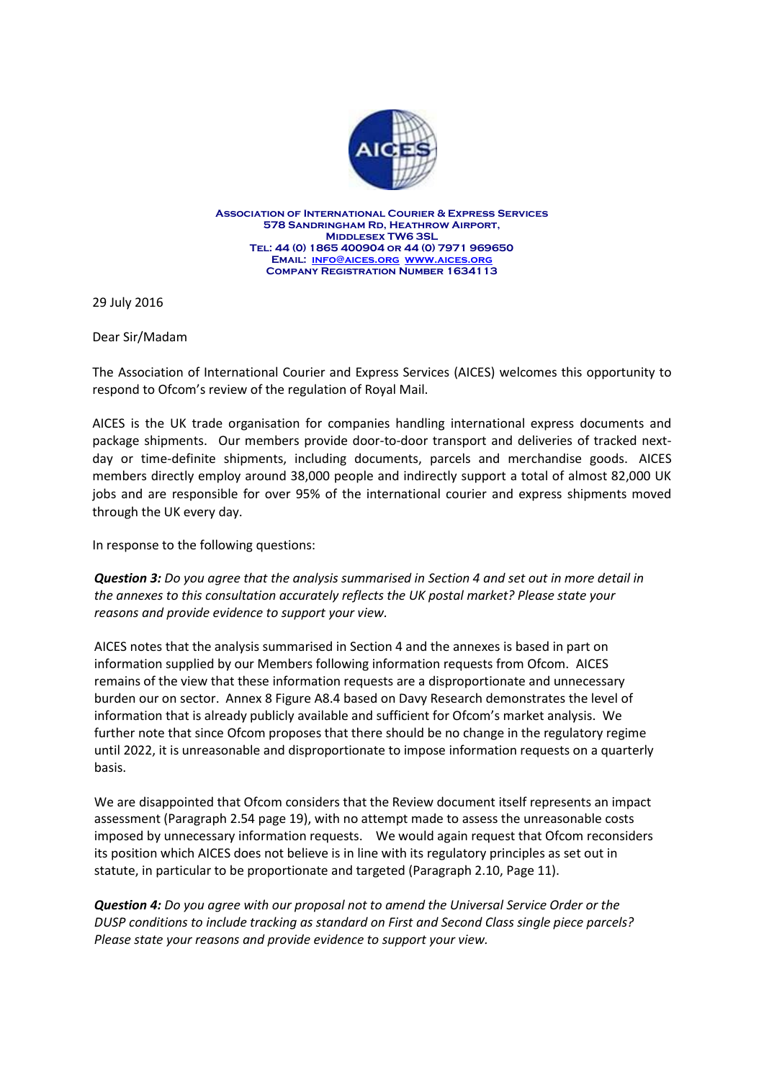

**Association of International Courier & Express Services 578 Sandringham Rd, Heathrow Airport, Middlesex TW6 3SL Tel: 44 (0) 1865 400904 or 44 (0) 7971 969650 Email: [info@aices.org](mailto:info@aices.org) [www.aices.org](http://www.aices.org/) Company Registration Number 1634113**

29 July 2016

Dear Sir/Madam

The Association of International Courier and Express Services (AICES) welcomes this opportunity to respond to Ofcom's review of the regulation of Royal Mail.

AICES is the UK trade organisation for companies handling international express documents and package shipments. Our members provide door-to-door transport and deliveries of tracked nextday or time-definite shipments, including documents, parcels and merchandise goods. AICES members directly employ around 38,000 people and indirectly support a total of almost 82,000 UK jobs and are responsible for over 95% of the international courier and express shipments moved through the UK every day.

In response to the following questions:

*Question 3: Do you agree that the analysis summarised in Section 4 and set out in more detail in the annexes to this consultation accurately reflects the UK postal market? Please state your reasons and provide evidence to support your view.*

AICES notes that the analysis summarised in Section 4 and the annexes is based in part on information supplied by our Members following information requests from Ofcom. AICES remains of the view that these information requests are a disproportionate and unnecessary burden our on sector. Annex 8 Figure A8.4 based on Davy Research demonstrates the level of information that is already publicly available and sufficient for Ofcom's market analysis. We further note that since Ofcom proposes that there should be no change in the regulatory regime until 2022, it is unreasonable and disproportionate to impose information requests on a quarterly basis.

We are disappointed that Ofcom considers that the Review document itself represents an impact assessment (Paragraph 2.54 page 19), with no attempt made to assess the unreasonable costs imposed by unnecessary information requests. We would again request that Ofcom reconsiders its position which AICES does not believe is in line with its regulatory principles as set out in statute, in particular to be proportionate and targeted (Paragraph 2.10, Page 11).

*Question 4: Do you agree with our proposal not to amend the Universal Service Order or the DUSP conditions to include tracking as standard on First and Second Class single piece parcels? Please state your reasons and provide evidence to support your view.*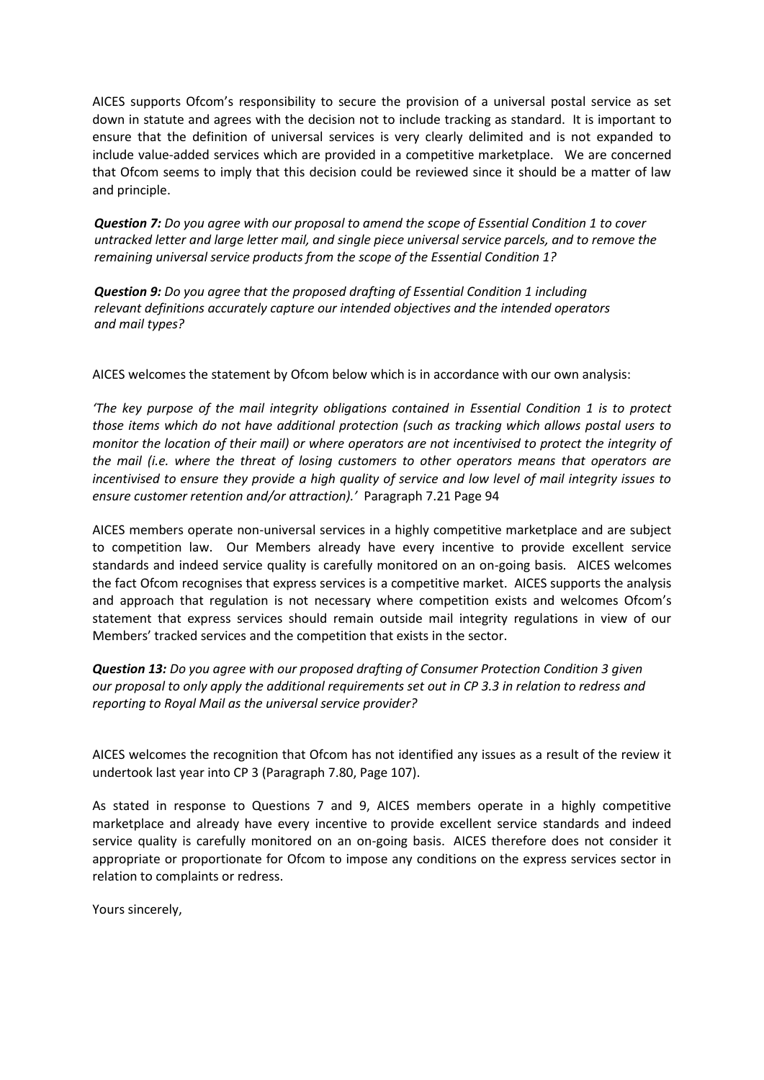AICES supports Ofcom's responsibility to secure the provision of a universal postal service as set down in statute and agrees with the decision not to include tracking as standard. It is important to ensure that the definition of universal services is very clearly delimited and is not expanded to include value-added services which are provided in a competitive marketplace. We are concerned that Ofcom seems to imply that this decision could be reviewed since it should be a matter of law and principle.

*Question 7: Do you agree with our proposal to amend the scope of Essential Condition 1 to cover untracked letter and large letter mail, and single piece universal service parcels, and to remove the remaining universal service products from the scope of the Essential Condition 1?*

*Question 9: Do you agree that the proposed drafting of Essential Condition 1 including relevant definitions accurately capture our intended objectives and the intended operators and mail types?*

AICES welcomes the statement by Ofcom below which is in accordance with our own analysis:

*'The key purpose of the mail integrity obligations contained in Essential Condition 1 is to protect those items which do not have additional protection (such as tracking which allows postal users to monitor the location of their mail) or where operators are not incentivised to protect the integrity of the mail (i.e. where the threat of losing customers to other operators means that operators are incentivised to ensure they provide a high quality of service and low level of mail integrity issues to ensure customer retention and/or attraction).'* Paragraph 7.21 Page 94

AICES members operate non-universal services in a highly competitive marketplace and are subject to competition law. Our Members already have every incentive to provide excellent service standards and indeed service quality is carefully monitored on an on-going basis. AICES welcomes the fact Ofcom recognises that express services is a competitive market. AICES supports the analysis and approach that regulation is not necessary where competition exists and welcomes Ofcom's statement that express services should remain outside mail integrity regulations in view of our Members' tracked services and the competition that exists in the sector.

*Question 13: Do you agree with our proposed drafting of Consumer Protection Condition 3 given our proposal to only apply the additional requirements set out in CP 3.3 in relation to redress and reporting to Royal Mail as the universal service provider?*

AICES welcomes the recognition that Ofcom has not identified any issues as a result of the review it undertook last year into CP 3 (Paragraph 7.80, Page 107).

As stated in response to Questions 7 and 9, AICES members operate in a highly competitive marketplace and already have every incentive to provide excellent service standards and indeed service quality is carefully monitored on an on-going basis. AICES therefore does not consider it appropriate or proportionate for Ofcom to impose any conditions on the express services sector in relation to complaints or redress.

Yours sincerely,